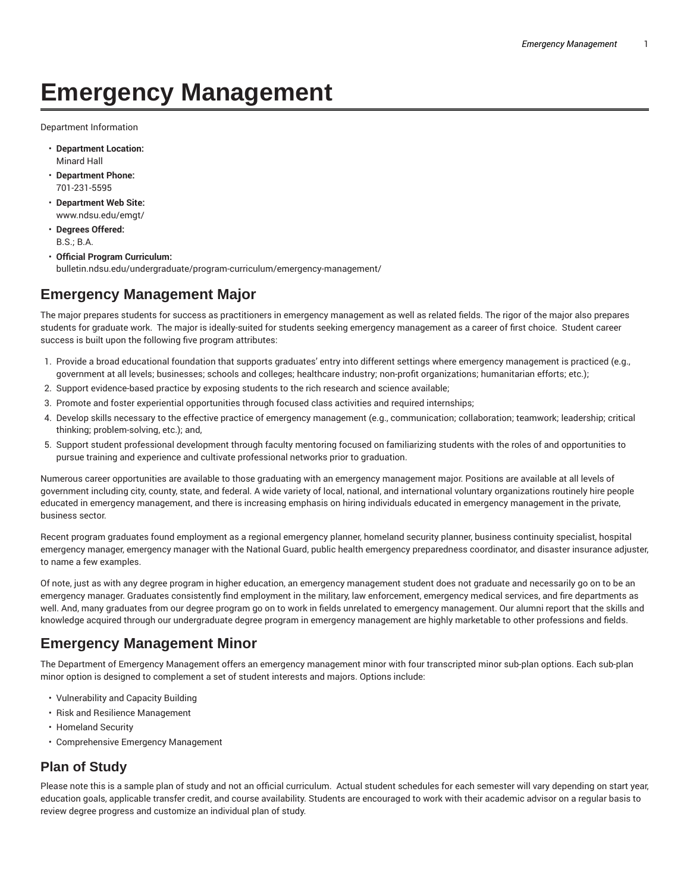## **Emergency Management**

Department Information

- **Department Location:** Minard Hall
- **Department Phone:** 701-231-5595
- **Department Web Site:** www.ndsu.edu/emgt/
- **Degrees Offered:** B.S.; B.A.
- **Official Program Curriculum:** bulletin.ndsu.edu/undergraduate/program-curriculum/emergency-management/

## **Emergency Management Major**

The major prepares students for success as practitioners in emergency management as well as related fields. The rigor of the major also prepares students for graduate work. The major is ideally-suited for students seeking emergency management as a career of first choice. Student career success is built upon the following five program attributes:

- 1. Provide a broad educational foundation that supports graduates' entry into different settings where emergency management is practiced (e.g., government at all levels; businesses; schools and colleges; healthcare industry; non-profit organizations; humanitarian efforts; etc.);
- 2. Support evidence-based practice by exposing students to the rich research and science available;
- 3. Promote and foster experiential opportunities through focused class activities and required internships;
- 4. Develop skills necessary to the effective practice of emergency management (e.g., communication; collaboration; teamwork; leadership; critical thinking; problem-solving, etc.); and,
- 5. Support student professional development through faculty mentoring focused on familiarizing students with the roles of and opportunities to pursue training and experience and cultivate professional networks prior to graduation.

Numerous career opportunities are available to those graduating with an emergency management major. Positions are available at all levels of government including city, county, state, and federal. A wide variety of local, national, and international voluntary organizations routinely hire people educated in emergency management, and there is increasing emphasis on hiring individuals educated in emergency management in the private, business sector.

Recent program graduates found employment as a regional emergency planner, homeland security planner, business continuity specialist, hospital emergency manager, emergency manager with the National Guard, public health emergency preparedness coordinator, and disaster insurance adjuster, to name a few examples.

Of note, just as with any degree program in higher education, an emergency management student does not graduate and necessarily go on to be an emergency manager. Graduates consistently find employment in the military, law enforcement, emergency medical services, and fire departments as well. And, many graduates from our degree program go on to work in fields unrelated to emergency management. Our alumni report that the skills and knowledge acquired through our undergraduate degree program in emergency management are highly marketable to other professions and fields.

## **Emergency Management Minor**

The Department of Emergency Management offers an emergency management minor with four transcripted minor sub-plan options. Each sub-plan minor option is designed to complement a set of student interests and majors. Options include:

- Vulnerability and Capacity Building
- Risk and Resilience Management
- Homeland Security
- Comprehensive Emergency Management

## **Plan of Study**

Please note this is a sample plan of study and not an official curriculum. Actual student schedules for each semester will vary depending on start year, education goals, applicable transfer credit, and course availability. Students are encouraged to work with their academic advisor on a regular basis to review degree progress and customize an individual plan of study.